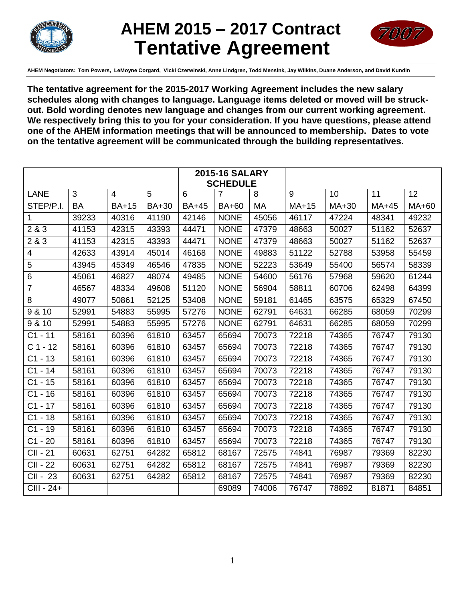

# **AHEM 2015 – 2017 Contract Tentative Agreement**



**AHEM Negotiators: Tom Powers, LeMoyne Corgard, Vicki Czerwinski, Anne Lindgren, Todd Mensink, Jay Wilkins, Duane Anderson, and David Kundin**

**The tentative agreement for the 2015-2017 Working Agreement includes the new salary schedules along with changes to language. Language items deleted or moved will be struckout. Bold wording denotes new language and changes from our current working agreement. We respectively bring this to you for your consideration. If you have questions, please attend one of the AHEM information meetings that will be announced to membership. Dates to vote on the tentative agreement will be communicated through the building representatives.**

| <b>2015-16 SALARY</b> |                 |                |              |              |                |           |         |       |       |       |
|-----------------------|-----------------|----------------|--------------|--------------|----------------|-----------|---------|-------|-------|-------|
|                       | <b>SCHEDULE</b> |                |              |              |                |           |         |       |       |       |
| <b>LANE</b>           | 3               | $\overline{4}$ | 5            | 6            | $\overline{7}$ | 8         | 9       | 10    | 11    | 12    |
| STEP/P.I.             | <b>BA</b>       | <b>BA+15</b>   | <b>BA+30</b> | <b>BA+45</b> | <b>BA+60</b>   | <b>MA</b> | $MA+15$ | MA+30 | MA+45 | MA+60 |
| 1                     | 39233           | 40316          | 41190        | 42146        | <b>NONE</b>    | 45056     | 46117   | 47224 | 48341 | 49232 |
| 2 & 3                 | 41153           | 42315          | 43393        | 44471        | <b>NONE</b>    | 47379     | 48663   | 50027 | 51162 | 52637 |
| 2 & 3                 | 41153           | 42315          | 43393        | 44471        | <b>NONE</b>    | 47379     | 48663   | 50027 | 51162 | 52637 |
| 4                     | 42633           | 43914          | 45014        | 46168        | <b>NONE</b>    | 49883     | 51122   | 52788 | 53958 | 55459 |
| 5                     | 43945           | 45349          | 46546        | 47835        | <b>NONE</b>    | 52223     | 53649   | 55400 | 56574 | 58339 |
| $6\phantom{1}$        | 45061           | 46827          | 48074        | 49485        | <b>NONE</b>    | 54600     | 56176   | 57968 | 59620 | 61244 |
| $\overline{7}$        | 46567           | 48334          | 49608        | 51120        | <b>NONE</b>    | 56904     | 58811   | 60706 | 62498 | 64399 |
| 8                     | 49077           | 50861          | 52125        | 53408        | <b>NONE</b>    | 59181     | 61465   | 63575 | 65329 | 67450 |
| 9 & 10                | 52991           | 54883          | 55995        | 57276        | <b>NONE</b>    | 62791     | 64631   | 66285 | 68059 | 70299 |
| 9 & 10                | 52991           | 54883          | 55995        | 57276        | <b>NONE</b>    | 62791     | 64631   | 66285 | 68059 | 70299 |
| $C1 - 11$             | 58161           | 60396          | 61810        | 63457        | 65694          | 70073     | 72218   | 74365 | 76747 | 79130 |
| $C$ 1 - 12            | 58161           | 60396          | 61810        | 63457        | 65694          | 70073     | 72218   | 74365 | 76747 | 79130 |
| $C1 - 13$             | 58161           | 60396          | 61810        | 63457        | 65694          | 70073     | 72218   | 74365 | 76747 | 79130 |
| $C1 - 14$             | 58161           | 60396          | 61810        | 63457        | 65694          | 70073     | 72218   | 74365 | 76747 | 79130 |
| $C1 - 15$             | 58161           | 60396          | 61810        | 63457        | 65694          | 70073     | 72218   | 74365 | 76747 | 79130 |
| $C1 - 16$             | 58161           | 60396          | 61810        | 63457        | 65694          | 70073     | 72218   | 74365 | 76747 | 79130 |
| $C1 - 17$             | 58161           | 60396          | 61810        | 63457        | 65694          | 70073     | 72218   | 74365 | 76747 | 79130 |
| $C1 - 18$             | 58161           | 60396          | 61810        | 63457        | 65694          | 70073     | 72218   | 74365 | 76747 | 79130 |
| $C1 - 19$             | 58161           | 60396          | 61810        | 63457        | 65694          | 70073     | 72218   | 74365 | 76747 | 79130 |
| $C1 - 20$             | 58161           | 60396          | 61810        | 63457        | 65694          | 70073     | 72218   | 74365 | 76747 | 79130 |
| CII - 21              | 60631           | 62751          | 64282        | 65812        | 68167          | 72575     | 74841   | 76987 | 79369 | 82230 |
| CII - 22              | 60631           | 62751          | 64282        | 65812        | 68167          | 72575     | 74841   | 76987 | 79369 | 82230 |
| CII - 23              | 60631           | 62751          | 64282        | 65812        | 68167          | 72575     | 74841   | 76987 | 79369 | 82230 |
| CIII - 24+            |                 |                |              |              | 69089          | 74006     | 76747   | 78892 | 81871 | 84851 |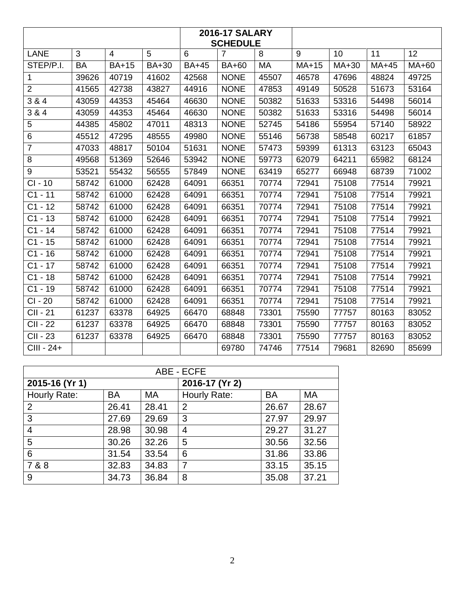| <b>2016-17 SALARY</b><br><b>SCHEDULE</b> |                |                |                |              |                |           |         |         |       |       |
|------------------------------------------|----------------|----------------|----------------|--------------|----------------|-----------|---------|---------|-------|-------|
| <b>LANE</b>                              | $\overline{3}$ | $\overline{4}$ | $\overline{5}$ | 6            | $\overline{7}$ | 8         | 9       | 10      | 11    | 12    |
| STEP/P.I.                                | <b>BA</b>      | <b>BA+15</b>   | <b>BA+30</b>   | <b>BA+45</b> | <b>BA+60</b>   | <b>MA</b> | $MA+15$ | $MA+30$ | MA+45 | MA+60 |
| $\mathbf{1}$                             | 39626          | 40719          | 41602          | 42568        | <b>NONE</b>    | 45507     | 46578   | 47696   | 48824 | 49725 |
| $\overline{2}$                           | 41565          | 42738          | 43827          | 44916        | <b>NONE</b>    | 47853     | 49149   | 50528   | 51673 | 53164 |
| 3 & 4                                    | 43059          | 44353          | 45464          | 46630        | <b>NONE</b>    | 50382     | 51633   | 53316   | 54498 | 56014 |
| 3 & 4                                    | 43059          | 44353          | 45464          | 46630        | <b>NONE</b>    | 50382     | 51633   | 53316   | 54498 | 56014 |
| 5                                        | 44385          | 45802          | 47011          | 48313        | <b>NONE</b>    | 52745     | 54186   | 55954   | 57140 | 58922 |
| 6                                        | 45512          | 47295          | 48555          | 49980        | <b>NONE</b>    | 55146     | 56738   | 58548   | 60217 | 61857 |
| $\overline{7}$                           | 47033          | 48817          | 50104          | 51631        | <b>NONE</b>    | 57473     | 59399   | 61313   | 63123 | 65043 |
| 8                                        | 49568          | 51369          | 52646          | 53942        | <b>NONE</b>    | 59773     | 62079   | 64211   | 65982 | 68124 |
| 9                                        | 53521          | 55432          | 56555          | 57849        | <b>NONE</b>    | 63419     | 65277   | 66948   | 68739 | 71002 |
| $CI - 10$                                | 58742          | 61000          | 62428          | 64091        | 66351          | 70774     | 72941   | 75108   | 77514 | 79921 |
| $C1 - 11$                                | 58742          | 61000          | 62428          | 64091        | 66351          | 70774     | 72941   | 75108   | 77514 | 79921 |
| $C1 - 12$                                | 58742          | 61000          | 62428          | 64091        | 66351          | 70774     | 72941   | 75108   | 77514 | 79921 |
| $C1 - 13$                                | 58742          | 61000          | 62428          | 64091        | 66351          | 70774     | 72941   | 75108   | 77514 | 79921 |
| $C1 - 14$                                | 58742          | 61000          | 62428          | 64091        | 66351          | 70774     | 72941   | 75108   | 77514 | 79921 |
| $C1 - 15$                                | 58742          | 61000          | 62428          | 64091        | 66351          | 70774     | 72941   | 75108   | 77514 | 79921 |
| $C1 - 16$                                | 58742          | 61000          | 62428          | 64091        | 66351          | 70774     | 72941   | 75108   | 77514 | 79921 |
| $\overline{C}$ 1 - 17                    | 58742          | 61000          | 62428          | 64091        | 66351          | 70774     | 72941   | 75108   | 77514 | 79921 |
| $C1 - 18$                                | 58742          | 61000          | 62428          | 64091        | 66351          | 70774     | 72941   | 75108   | 77514 | 79921 |
| $C1 - 19$                                | 58742          | 61000          | 62428          | 64091        | 66351          | 70774     | 72941   | 75108   | 77514 | 79921 |
| CI - 20                                  | 58742          | 61000          | 62428          | 64091        | 66351          | 70774     | 72941   | 75108   | 77514 | 79921 |
| <b>CII - 21</b>                          | 61237          | 63378          | 64925          | 66470        | 68848          | 73301     | 75590   | 77757   | 80163 | 83052 |
| <b>CII - 22</b>                          | 61237          | 63378          | 64925          | 66470        | 68848          | 73301     | 75590   | 77757   | 80163 | 83052 |
| CII - 23                                 | 61237          | 63378          | 64925          | 66470        | 68848          | 73301     | 75590   | 77757   | 80163 | 83052 |
| CIII - 24+                               |                |                |                |              | 69780          | 74746     | 77514   | 79681   | 82690 | 85699 |

| ABE - ECFE     |           |       |                |           |       |  |
|----------------|-----------|-------|----------------|-----------|-------|--|
| 2015-16 (Yr 1) |           |       | 2016-17 (Yr 2) |           |       |  |
| Hourly Rate:   | <b>BA</b> | MA    | Hourly Rate:   | <b>BA</b> | MA    |  |
| 2              | 26.41     | 28.41 | 2              | 26.67     | 28.67 |  |
| 3              | 27.69     | 29.69 | 3              | 27.97     | 29.97 |  |
| 4              | 28.98     | 30.98 | $\overline{4}$ | 29.27     | 31.27 |  |
| 5              | 30.26     | 32.26 | 5              | 30.56     | 32.56 |  |
| 6              | 31.54     | 33.54 | 6              | 31.86     | 33.86 |  |
| 7 & 8          | 32.83     | 34.83 | $\overline{7}$ | 33.15     | 35.15 |  |
| 9              | 34.73     | 36.84 | 8              | 35.08     | 37.21 |  |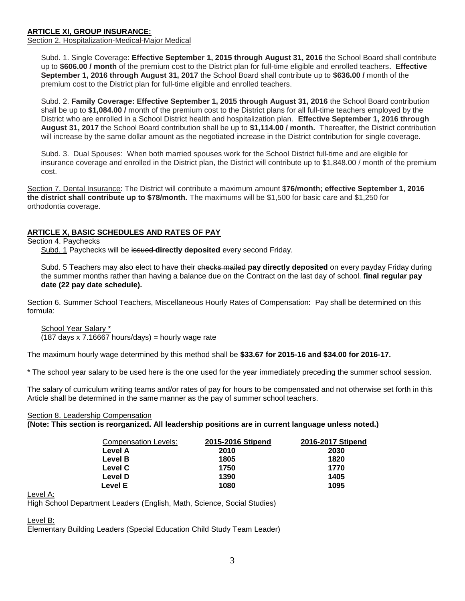## **ARTICLE XI, GROUP INSURANCE:**

Section 2. Hospitalization-Medical-Major Medical

Subd. 1. Single Coverage: **Effective September 1, 2015 through August 31, 2016** the School Board shall contribute up to **\$606.00 / month** of the premium cost to the District plan for full-time eligible and enrolled teachers**. Effective September 1, 2016 through August 31, 2017** the School Board shall contribute up to **\$636.00 /** month of the premium cost to the District plan for full-time eligible and enrolled teachers.

Subd. 2. **Family Coverage: Effective September 1, 2015 through August 31, 2016** the School Board contribution shall be up to **\$1,084.00 /** month of the premium cost to the District plans for all full-time teachers employed by the District who are enrolled in a School District health and hospitalization plan. **Effective September 1, 2016 through August 31, 2017** the School Board contribution shall be up to **\$1,114.00 / month.** Thereafter, the District contribution will increase by the same dollar amount as the negotiated increase in the District contribution for single coverage.

Subd. 3. Dual Spouses: When both married spouses work for the School District full-time and are eligible for insurance coverage and enrolled in the District plan, the District will contribute up to \$1,848.00 / month of the premium cost.

Section 7. Dental Insurance: The District will contribute a maximum amount \$**76/month; effective September 1, 2016 the district shall contribute up to \$78/month.** The maximums will be \$1,500 for basic care and \$1,250 for orthodontia coverage.

## **ARTICLE X, BASIC SCHEDULES AND RATES OF PAY**

Section 4. Paychecks

Subd. 1 Paychecks will be issued **directly deposited** every second Friday.

Subd. 5 Teachers may also elect to have their checks mailed **pay directly deposited** on every payday Friday during the summer months rather than having a balance due on the Contract on the last day of school. **final regular pay date (22 pay date schedule).**

Section 6. Summer School Teachers, Miscellaneous Hourly Rates of Compensation: Pay shall be determined on this formula:

School Year Salary \*

(187 days x 7.16667 hours/days) = hourly wage rate

The maximum hourly wage determined by this method shall be **\$33.67 for 2015-16 and \$34.00 for 2016-17.**

\* The school year salary to be used here is the one used for the year immediately preceding the summer school session.

The salary of curriculum writing teams and/or rates of pay for hours to be compensated and not otherwise set forth in this Article shall be determined in the same manner as the pay of summer school teachers.

## Section 8. Leadership Compensation

**(Note: This section is reorganized. All leadership positions are in current language unless noted.)**

| Compensation Levels: | 2015-2016 Stipend | 2016-2017 Stipend |
|----------------------|-------------------|-------------------|
| Level A              | 2010              | 2030              |
| Level B              | 1805              | 1820              |
| Level C              | 1750              | 1770              |
| Level D              | 1390              | 1405              |
| Level E              | 1080              | 1095              |

Level A:

High School Department Leaders (English, Math, Science, Social Studies)

## Level B:

Elementary Building Leaders (Special Education Child Study Team Leader)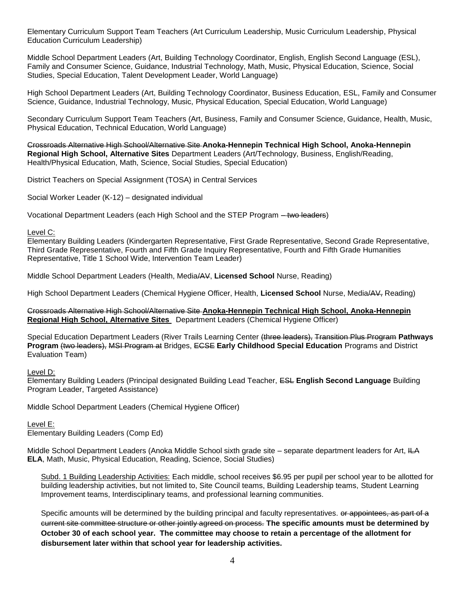Elementary Curriculum Support Team Teachers (Art Curriculum Leadership, Music Curriculum Leadership, Physical Education Curriculum Leadership)

Middle School Department Leaders (Art, Building Technology Coordinator, English, English Second Language (ESL), Family and Consumer Science, Guidance, Industrial Technology, Math, Music, Physical Education, Science, Social Studies, Special Education, Talent Development Leader, World Language)

High School Department Leaders (Art, Building Technology Coordinator, Business Education, ESL, Family and Consumer Science, Guidance, Industrial Technology, Music, Physical Education, Special Education, World Language)

Secondary Curriculum Support Team Teachers (Art, Business, Family and Consumer Science, Guidance, Health, Music, Physical Education, Technical Education, World Language)

Crossroads Alternative High School/Alternative Site **Anoka-Hennepin Technical High School, Anoka-Hennepin Regional High School, Alternative Sites** Department Leaders (Art/Technology, Business, English/Reading, Health/Physical Education, Math, Science, Social Studies, Special Education)

District Teachers on Special Assignment (TOSA) in Central Services

Social Worker Leader (K-12) – designated individual

Vocational Department Leaders (each High School and the STEP Program – two leaders)

#### Level C:

Elementary Building Leaders (Kindergarten Representative, First Grade Representative, Second Grade Representative, Third Grade Representative, Fourth and Fifth Grade Inquiry Representative, Fourth and Fifth Grade Humanities Representative, Title 1 School Wide, Intervention Team Leader)

Middle School Department Leaders (Health, Media/AV, **Licensed School** Nurse, Reading)

High School Department Leaders (Chemical Hygiene Officer, Health, **Licensed School** Nurse, Media/AV, Reading)

Crossroads Alternative High School/Alternative Site **Anoka-Hennepin Technical High School, Anoka-Hennepin Regional High School, Alternative Sites** Department Leaders (Chemical Hygiene Officer)

Special Education Department Leaders (River Trails Learning Center (three leaders), Transition Plus Program **Pathways Program** (two leaders), MSI Program at Bridges, ECSE **Early Childhood Special Education** Programs and District Evaluation Team)

Level D:

Elementary Building Leaders (Principal designated Building Lead Teacher, ESL **English Second Language** Building Program Leader, Targeted Assistance)

Middle School Department Leaders (Chemical Hygiene Officer)

## Level E:

Elementary Building Leaders (Comp Ed)

Middle School Department Leaders (Anoka Middle School sixth grade site – separate department leaders for Art, ILA **ELA**, Math, Music, Physical Education, Reading, Science, Social Studies)

Subd. 1 Building Leadership Activities: Each middle, school receives \$6.95 per pupil per school year to be allotted for building leadership activities, but not limited to, Site Council teams, Building Leadership teams, Student Learning Improvement teams, Interdisciplinary teams, and professional learning communities.

Specific amounts will be determined by the building principal and faculty representatives. <del>or appointees, as part of a</del> current site committee structure or other jointly agreed on process. **The specific amounts must be determined by October 30 of each school year. The committee may choose to retain a percentage of the allotment for disbursement later within that school year for leadership activities.**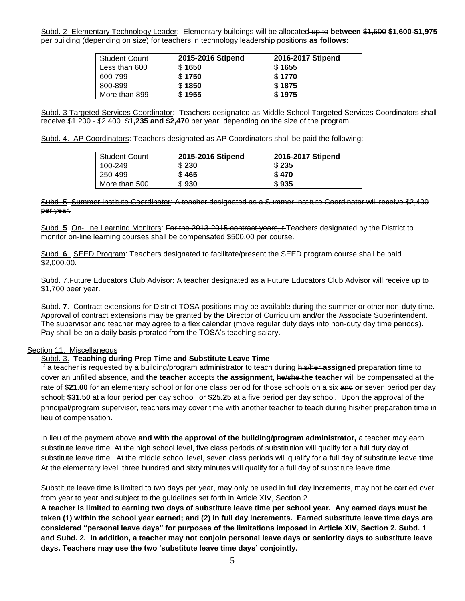Subd. 2 Elementary Technology Leader: Elementary buildings will be allocated up to **between** \$1,500 **\$1,600-\$1,975** per building (depending on size) for teachers in technology leadership positions **as follows:**

| <b>Student Count</b> | 2015-2016 Stipend | 2016-2017 Stipend |
|----------------------|-------------------|-------------------|
| Less than 600        | \$1650            | \$1655            |
| 600-799              | \$1750            | \$1770            |
| 800-899              | \$1850            | \$1875            |
| More than 899        | \$1955            | \$1975            |

Subd. 3 Targeted Services Coordinator: Teachers designated as Middle School Targeted Services Coordinators shall receive \$1,200 - \$2,400 \$**1,235 and \$2,470** per year, depending on the size of the program.

Subd. 4. AP Coordinators: Teachers designated as AP Coordinators shall be paid the following:

| <b>Student Count</b> | 2015-2016 Stipend | 2016-2017 Stipend |
|----------------------|-------------------|-------------------|
| 100-249              | \$230             | \$235             |
| 250-499              | \$465             | \$470             |
| More than 500        | \$930             | \$935             |

#### Subd. 5. Summer Institute Coordinator: A teacher designated as a Summer Institute Coordinator will receive \$2,400 per year.

Subd. **5**. On-Line Learning Monitors: For the 2013-2015 contract years, t **T**eachers designated by the District to monitor on-line learning courses shall be compensated \$500.00 per course.

Subd. **6** . SEED Program: Teachers designated to facilitate/present the SEED program course shall be paid \$2,000.00.

## Subd. 7.Future Educators Club Advisor: A teacher designated as a Future Educators Club Advisor will receive up to \$1,700 peer year.

Subd. **7**. Contract extensions for District TOSA positions may be available during the summer or other non-duty time. Approval of contract extensions may be granted by the Director of Curriculum and/or the Associate Superintendent. The supervisor and teacher may agree to a flex calendar (move regular duty days into non-duty day time periods). Pay shall be on a daily basis prorated from the TOSA's teaching salary.

## Section 11. Miscellaneous

## Subd. 3. **Teaching during Prep Time and Substitute Leave Time**

If a teacher is requested by a building/program administrator to teach during his/her **assigned** preparation time to cover an unfilled absence, and **the teacher** accepts **the assignment,** he/she **the teacher** will be compensated at the rate of **\$21.00** for an elementary school or for one class period for those schools on a six and **or** seven period per day school; **\$31.50** at a four period per day school; or **\$25.25** at a five period per day school. Upon the approval of the principal/program supervisor, teachers may cover time with another teacher to teach during his/her preparation time in lieu of compensation.

In lieu of the payment above **and with the approval of the building/program administrator,** a teacher may earn substitute leave time. At the high school level, five class periods of substitution will qualify for a full duty day of substitute leave time. At the middle school level, seven class periods will qualify for a full day of substitute leave time. At the elementary level, three hundred and sixty minutes will qualify for a full day of substitute leave time.

Substitute leave time is limited to two days per year, may only be used in full day increments, may not be carried over from year to year and subject to the guidelines set forth in Article XIV, Section 2.

**A teacher is limited to earning two days of substitute leave time per school year. Any earned days must be taken (1) within the school year earned; and (2) in full day increments. Earned substitute leave time days are considered "personal leave days" for purposes of the limitations imposed in Article XIV, Section 2. Subd. 1 and Subd. 2. In addition, a teacher may not conjoin personal leave days or seniority days to substitute leave days. Teachers may use the two 'substitute leave time days' conjointly.**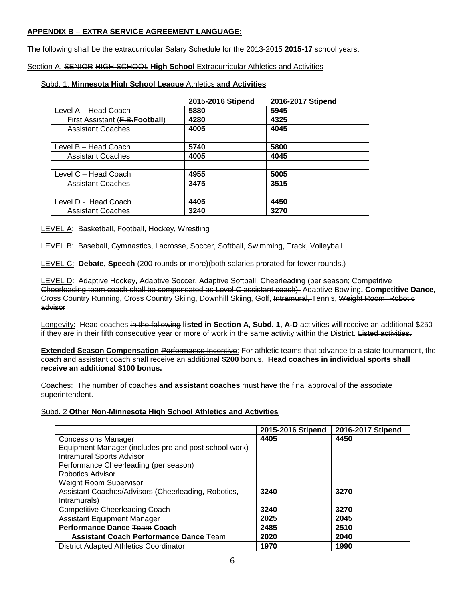## **APPENDIX B – EXTRA SERVICE AGREEMENT LANGUAGE:**

The following shall be the extracurricular Salary Schedule for the 2013-2015 **2015-17** school years.

## Section A. SENIOR HIGH SCHOOL **High School** Extracurricular Athletics and Activities

## Subd. 1. **Minnesota High School League** Athletics **and Activities**

|                                 | 2015-2016 Stipend | 2016-2017 Stipend |
|---------------------------------|-------------------|-------------------|
| Level A - Head Coach            | 5880              | 5945              |
| First Assistant (F.B. Football) | 4280              | 4325              |
| <b>Assistant Coaches</b>        | 4005              | 4045              |
|                                 |                   |                   |
| Level B - Head Coach            | 5740              | 5800              |
| <b>Assistant Coaches</b>        | 4005              | 4045              |
|                                 |                   |                   |
| Level C - Head Coach            | 4955              | 5005              |
| <b>Assistant Coaches</b>        | 3475              | 3515              |
|                                 |                   |                   |
| Level D - Head Coach            | 4405              | 4450              |
| <b>Assistant Coaches</b>        | 3240              | 3270              |

LEVEL A: Basketball, Football, Hockey, Wrestling

LEVEL B: Baseball, Gymnastics, Lacrosse, Soccer, Softball, Swimming, Track, Volleyball

LEVEL C: **Debate, Speech** (200 rounds or more)(both salaries prorated for fewer rounds.)

LEVEL D: Adaptive Hockey, Adaptive Soccer, Adaptive Softball, Cheerleading (per season; Competitive Cheerleading team coach shall be compensated as Level C assistant coach), Adaptive Bowling**, Competitive Dance,**  Cross Country Running, Cross Country Skiing, Downhill Skiing, Golf, Intramural, Tennis, Weight Room, Robotic advisor

Longevity: Head coaches in the following **listed in Section A, Subd. 1, A-D** activities will receive an additional \$250 if they are in their fifth consecutive year or more of work in the same activity within the District. Listed activities.

**Extended Season Compensation** Performance Incentive: For athletic teams that advance to a state tournament, the coach and assistant coach shall receive an additional **\$200** bonus. **Head coaches in individual sports shall receive an additional \$100 bonus.**

Coaches: The number of coaches **and assistant coaches** must have the final approval of the associate superintendent.

## Subd. 2 **Other Non-Minnesota High School Athletics and Activities**

|                                                       | 2015-2016 Stipend | 2016-2017 Stipend |
|-------------------------------------------------------|-------------------|-------------------|
| <b>Concessions Manager</b>                            | 4405              | 4450              |
| Equipment Manager (includes pre and post school work) |                   |                   |
| <b>Intramural Sports Advisor</b>                      |                   |                   |
| Performance Cheerleading (per season)                 |                   |                   |
| Robotics Advisor                                      |                   |                   |
| <b>Weight Room Supervisor</b>                         |                   |                   |
| Assistant Coaches/Advisors (Cheerleading, Robotics,   | 3240              | 3270              |
| Intramurals)                                          |                   |                   |
| <b>Competitive Cheerleading Coach</b>                 | 3240              | 3270              |
| <b>Assistant Equipment Manager</b>                    | 2025              | 2045              |
| Performance Dance Team Coach                          | 2485              | 2510              |
| <b>Assistant Coach Performance Dance Team</b>         | 2020              | 2040              |
| <b>District Adapted Athletics Coordinator</b>         | 1970              | 1990              |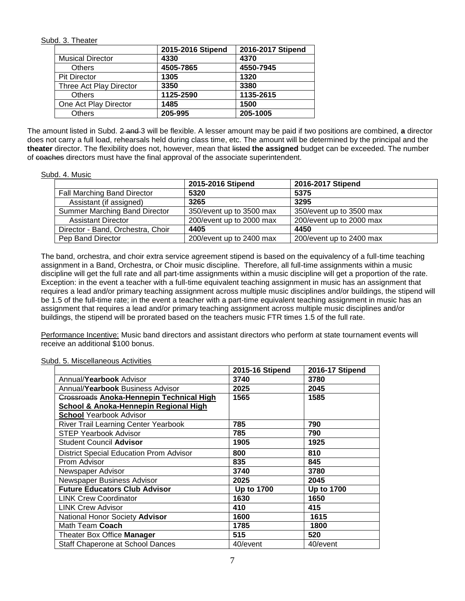## Subd. 3. Theater

|                         | 2015-2016 Stipend | 2016-2017 Stipend |
|-------------------------|-------------------|-------------------|
| <b>Musical Director</b> | 4330              | 4370              |
| <b>Others</b>           | 4505-7865         | 4550-7945         |
| <b>Pit Director</b>     | 1305              | 1320              |
| Three Act Play Director | 3350              | 3380              |
| <b>Others</b>           | 1125-2590         | 1135-2615         |
| One Act Play Director   | 1485              | 1500              |
| <b>Others</b>           | 205-995           | 205-1005          |

The amount listed in Subd. 2 and 3 will be flexible. A lesser amount may be paid if two positions are combined, **a** director does not carry a full load, rehearsals held during class time, etc. The amount will be determined by the principal and the **theater** director. The flexibility does not, however, mean that listed **the assigned** budget can be exceeded. The number of coaches directors must have the final approval of the associate superintendent.

## Subd. 4. Music

|                                   | 2015-2016 Stipend        | 2016-2017 Stipend        |
|-----------------------------------|--------------------------|--------------------------|
| Fall Marching Band Director       | 5320                     | 5375                     |
| Assistant (if assigned)           | 3265                     | 3295                     |
| Summer Marching Band Director     | 350/event up to 3500 max | 350/event up to 3500 max |
| <b>Assistant Director</b>         | 200/event up to 2000 max | 200/event up to 2000 max |
| Director - Band, Orchestra, Choir | 4405                     | 4450                     |
| Pep Band Director                 | 200/event up to 2400 max | 200/event up to 2400 max |

The band, orchestra, and choir extra service agreement stipend is based on the equivalency of a full-time teaching assignment in a Band, Orchestra, or Choir music discipline. Therefore, all full-time assignments within a music discipline will get the full rate and all part-time assignments within a music discipline will get a proportion of the rate. Exception: in the event a teacher with a full-time equivalent teaching assignment in music has an assignment that requires a lead and/or primary teaching assignment across multiple music disciplines and/or buildings, the stipend will be 1.5 of the full-time rate; in the event a teacher with a part-time equivalent teaching assignment in music has an assignment that requires a lead and/or primary teaching assignment across multiple music disciplines and/or buildings, the stipend will be prorated based on the teachers music FTR times 1.5 of the full rate.

Performance Incentive: Music band directors and assistant directors who perform at state tournament events will receive an additional \$100 bonus.

|                                                 | 2015-16 Stipend   | 2016-17 Stipend   |
|-------------------------------------------------|-------------------|-------------------|
| Annual/Yearbook Advisor                         | 3740              | 3780              |
| Annual/Yearbook Business Advisor                | 2025              | 2045              |
| <b>Crossroads Anoka-Hennepin Technical High</b> | 1565              | 1585              |
| School & Anoka-Hennepin Regional High           |                   |                   |
| <b>School Yearbook Advisor</b>                  |                   |                   |
| <b>River Trail Learning Center Yearbook</b>     | 785               | 790               |
| <b>STEP Yearbook Advisor</b>                    | 785               | 790               |
| <b>Student Council Advisor</b>                  | 1905              | 1925              |
| <b>District Special Education Prom Advisor</b>  | 800               | 810               |
| Prom Advisor                                    | 835               | 845               |
| Newspaper Advisor                               | 3740              | 3780              |
| Newspaper Business Advisor                      | 2025              | 2045              |
| <b>Future Educators Club Advisor</b>            | <b>Up to 1700</b> | <b>Up to 1700</b> |
| <b>LINK Crew Coordinator</b>                    | 1630              | 1650              |
| <b>LINK Crew Advisor</b>                        | 410               | 415               |
| National Honor Society Advisor                  | 1600              | 1615              |
| Math Team Coach                                 | 1785              | 1800              |
| Theater Box Office Manager                      | 515               | 520               |
| Staff Chaperone at School Dances                | 40/event          | 40/event          |

## Subd. 5. Miscellaneous Activities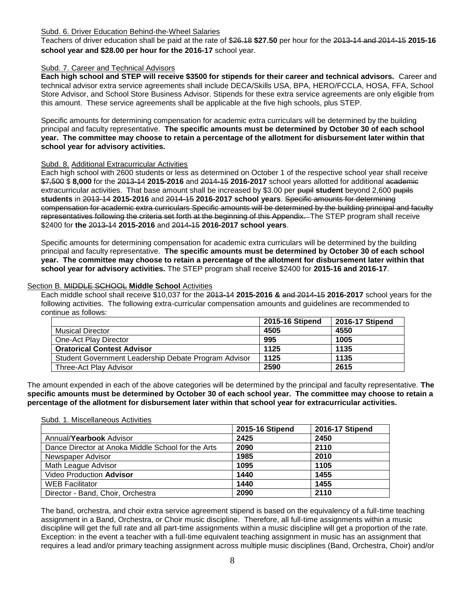## Subd. 6. Driver Education Behind-the-Wheel Salaries

Teachers of driver education shall be paid at the rate of \$26.18 **\$27.50** per hour for the 2013-14 and 2014-15 **2015-16 school year and \$28.00 per hour for the 2016-17** school year.

## Subd. 7. Career and Technical Advisors

**Each high school and STEP will receive \$3500 for stipends for their career and technical advisors.** Career and technical advisor extra service agreements shall include DECA/Skills USA, BPA, HERO/FCCLA, HOSA, FFA, School Store Advisor, and School Store Business Advisor. Stipends for these extra service agreements are only eligible from this amount. These service agreements shall be applicable at the five high schools, plus STEP.

Specific amounts for determining compensation for academic extra curriculars will be determined by the building principal and faculty representative. **The specific amounts must be determined by October 30 of each school year. The committee may choose to retain a percentage of the allotment for disbursement later within that school year for advisory activities.** 

## Subd. 8. Additional Extracurricular Activities

Each high school with 2600 students or less as determined on October 1 of the respective school year shall receive \$7,500 \$ **8,000** for the 2013-14 **2015-2016** and 2014-15 **2016-2017** school years allotted for additional academic extracurricular activities. That base amount shall be increased by \$3.00 per pupil **student** beyond 2,600 pupils **students** in 2013-14 **2015-2016** and 2014-15 **2016-2017 school years**. Specific amounts for determining compensation for academic extra curriculars Specific amounts will be determined by the building principal and faculty representatives following the criteria set forth at the beginning of this Appendix. The STEP program shall receive \$2400 for **the** 2013-14 **2015-2016** and 2014-15 **2016-2017 school years**.

Specific amounts for determining compensation for academic extra curriculars will be determined by the building principal and faculty representative. **The specific amounts must be determined by October 30 of each school year. The committee may choose to retain a percentage of the allotment for disbursement later within that school year for advisory activities.** The STEP program shall receive \$2400 for **2015-16 and 2016-17**.

## Section B. MIDDLE SCHOOL **Middle School** Activities

Each middle school shall receive \$10,037 for the 2013-14 **2015-2016 &** and 2014-15 **2016-2017** school years for the following activities. The following extra-curricular compensation amounts and guidelines are recommended to continue as follows:

|                                                      | 2015-16 Stipend | 2016-17 Stipend |
|------------------------------------------------------|-----------------|-----------------|
| <b>Musical Director</b>                              | 4505            | 4550            |
| One-Act Play Director                                | 995             | 1005            |
| <b>Oratorical Contest Advisor</b>                    | 1125            | 1135            |
| Student Government Leadership Debate Program Advisor | 1125            | 1135            |
| Three-Act Play Advisor                               | 2590            | 2615            |

The amount expended in each of the above categories will be determined by the principal and faculty representative. **The specific amounts must be determined by October 30 of each school year. The committee may choose to retain a percentage of the allotment for disbursement later within that school year for extracurricular activities.** 

|                                                    | 2015-16 Stipend | 2016-17 Stipend |
|----------------------------------------------------|-----------------|-----------------|
| Annual/Yearbook Advisor                            | 2425            | 2450            |
| Dance Director at Anoka Middle School for the Arts | 2090            | 2110            |
| Newspaper Advisor                                  | 1985            | 2010            |
| Math League Advisor                                | 1095            | 1105            |
| Video Production Advisor                           | 1440            | 1455            |
| <b>WEB Facilitator</b>                             | 1440            | 1455            |
| Director - Band, Choir, Orchestra                  | 2090            | 2110            |

The band, orchestra, and choir extra service agreement stipend is based on the equivalency of a full-time teaching assignment in a Band, Orchestra, or Choir music discipline. Therefore, all full-time assignments within a music discipline will get the full rate and all part-time assignments within a music discipline will get a proportion of the rate. Exception: in the event a teacher with a full-time equivalent teaching assignment in music has an assignment that requires a lead and/or primary teaching assignment across multiple music disciplines (Band, Orchestra, Choir) and/or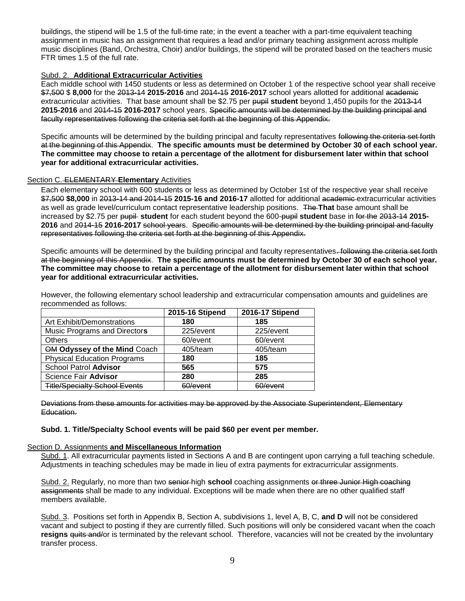buildings, the stipend will be 1.5 of the full-time rate; in the event a teacher with a part-time equivalent teaching assignment in music has an assignment that requires a lead and/or primary teaching assignment across multiple music disciplines (Band, Orchestra, Choir) and/or buildings, the stipend will be prorated based on the teachers music FTR times 1.5 of the full rate.

## Subd. 2. **Additional Extracurricular Activities**

Each middle school with 1450 students or less as determined on October 1 of the respective school year shall receive \$7,500 \$ **8,000** for the 2013-14 **2015-2016** and 2014-15 **2016-2017** school years allotted for additional academic extracurricular activities. That base amount shall be \$2.75 per pupil **student** beyond 1,450 pupils for the 2013-14 **2015-2016** and 2014-15 **2016-2017** school years. Specific amounts will be determined by the building principal and faculty representatives following the criteria set forth at the beginning of this Appendix.

Specific amounts will be determined by the building principal and faculty representatives following the criteria set forth at the beginning of this Appendix. **The specific amounts must be determined by October 30 of each school year. The committee may choose to retain a percentage of the allotment for disbursement later within that school year for additional extracurricular activities.** 

## Section C. ELEMENTARY **Elementary** Activities

Each elementary school with 600 students or less as determined by October 1st of the respective year shall receive \$7,500 **\$8,000** in 2013-14 and 2014-15 **2015-16 and 2016-17** allotted for additional academic extracurricular activities as well as grade level/curriculum contact representative leadership positions. The **That** base amount shall be increased by \$2.75 per pupil **student** for each student beyond the 600-pupil **student** base in for the 2013-14 **2015- 2016** and 2014-15 **2016-2017** school years. Specific amounts will be determined by the building principal and faculty representatives following the criteria set forth at the beginning of this Appendix.

Specific amounts will be determined by the building principal and faculty representatives. following the criteria set forth at the beginning of this Appendix. **The specific amounts must be determined by October 30 of each school year. The committee may choose to retain a percentage of the allotment for disbursement later within that school year for additional extracurricular activities.** 

However, the following elementary school leadership and extracurricular compensation amounts and guidelines are recommended as follows:

|                                      | 2015-16 Stipend | 2016-17 Stipend |
|--------------------------------------|-----------------|-----------------|
| Art Exhibit/Demonstrations           | 180             | 185             |
| Music Programs and Directors         | 225/event       | 225/event       |
| <b>Others</b>                        | 60/event        | 60/event        |
| OM Odyssey of the Mind Coach         | 405/team        | 405/team        |
| <b>Physical Education Programs</b>   | 180             | 185             |
| School Patrol Advisor                | 565             | 575             |
| Science Fair Advisor                 | 280             | 285             |
| <b>Title/Specialty School Events</b> | RN/avant        | RN/avant        |

Deviations from these amounts for activities may be approved by the Associate Superintendent, Elementary Education.

## **Subd. 1. Title/Specialty School events will be paid \$60 per event per member.**

## Section D. Assignments **and Miscellaneous Information**

Subd. 1. All extracurricular payments listed in Sections A and B are contingent upon carrying a full teaching schedule. Adjustments in teaching schedules may be made in lieu of extra payments for extracurricular assignments.

Subd. 2. Regularly, no more than two senior high **school** coaching assignments or three Junior High coaching assignments shall be made to any individual. Exceptions will be made when there are no other qualified staff members available.

Subd. 3. Positions set forth in Appendix B, Section A, subdivisions 1, level A, B, C, **and D** will not be considered vacant and subject to posting if they are currently filled. Such positions will only be considered vacant when the coach **resigns** quits and/or is terminated by the relevant school. Therefore, vacancies will not be created by the involuntary transfer process.